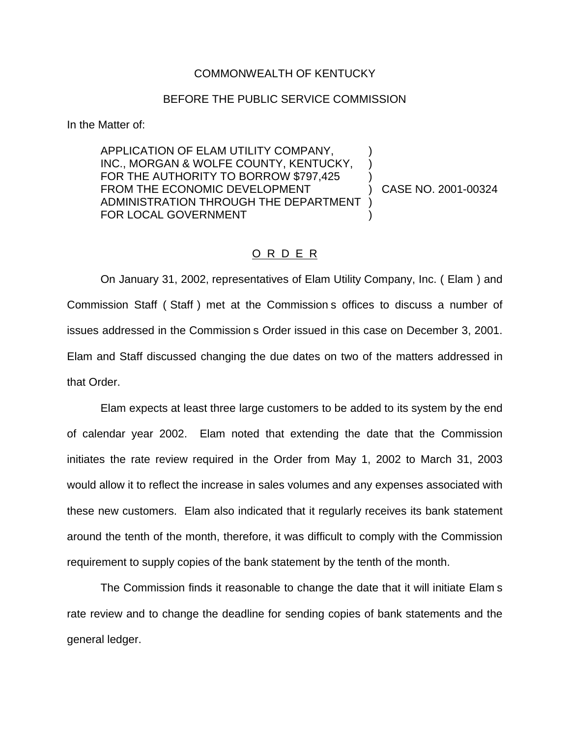## COMMONWEALTH OF KENTUCKY

## BEFORE THE PUBLIC SERVICE COMMISSION

In the Matter of:

APPLICATION OF ELAM UTILITY COMPANY, ) INC., MORGAN & WOLFE COUNTY, KENTUCKY, FOR THE AUTHORITY TO BORROW \$797,425 FROM THE ECONOMIC DEVELOPMENT (2001-00324 ADMINISTRATION THROUGH THE DEPARTMENT ) FOR LOCAL GOVERNMENT

## O R D E R

On January 31, 2002, representatives of Elam Utility Company, Inc. ( Elam ) and Commission Staff ( Staff ) met at the Commission s offices to discuss a number of issues addressed in the Commission s Order issued in this case on December 3, 2001. Elam and Staff discussed changing the due dates on two of the matters addressed in that Order.

Elam expects at least three large customers to be added to its system by the end of calendar year 2002. Elam noted that extending the date that the Commission initiates the rate review required in the Order from May 1, 2002 to March 31, 2003 would allow it to reflect the increase in sales volumes and any expenses associated with these new customers. Elam also indicated that it regularly receives its bank statement around the tenth of the month, therefore, it was difficult to comply with the Commission requirement to supply copies of the bank statement by the tenth of the month.

The Commission finds it reasonable to change the date that it will initiate Elam s rate review and to change the deadline for sending copies of bank statements and the general ledger.